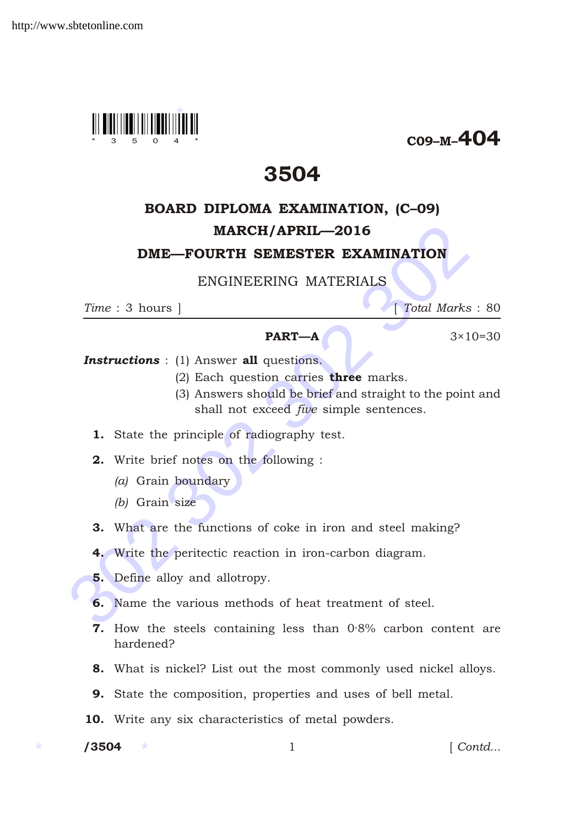

C09–M–404

# 3504

# BOARD DIPLOMA EXAMINATION, (C–09)

## MARCH/APRIL—2016

#### DME—FOURTH SEMESTER EXAMINATION

## ENGINEERING MATERIALS

*Time* : 3 hours ] [ *Total Marks* : 80

#### **PART—A**  $3 \times 10 = 30$

**Instructions** : (1) Answer all questions.

- (2) Each question carries **three** marks.
- **MARCH/APRIL—2016**<br> **DME—FOURTH SEMESTER EXAMINATION**<br>
ENGINEERING MATERIALS<br>  $\frac{Time: 3 \text{ hours}}{2}$ <br>  $\frac{1 \text{Total Marks}}{1}$ <br>  $\frac{1 \text{Total Marks}}{2}$ <br>  $\frac{1 \text{Total Marks}}{2}$ <br>  $\frac{1 \text{Total Marks}}{2}$ <br>  $\frac{1 \text{Total Marks}}{2}$ <br>  $\frac{1 \text{Total Marks}}{2}$ <br>  $\frac{1 \text{Total Marks}}{2}$ <br>  $\frac{1$ (3) Answers should be brief and straight to the point and shall not exceed *five* simple sentences.
	- 1. State the principle of radiography test.
	- 2. Write brief notes on the following :
		- *(a)* Grain boundary
		- *(b)* Grain size
	- 3. What are the functions of coke in iron and steel making?
	- 4. Write the peritectic reaction in iron-carbon diagram.
	- 5. Define alloy and allotropy.
	- 6. Name the various methods of heat treatment of steel.
	- 7. How the steels containing less than 0·8% carbon content are hardened?
	- 8. What is nickel? List out the most commonly used nickel alloys.
	- 9. State the composition, properties and uses of bell metal.
	- 10. Write any six characteristics of metal powders.
	- /3504

1 *Contd...*